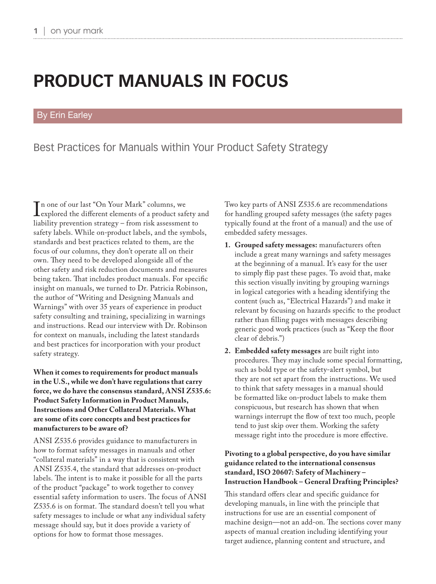# **PRODUCT MANUALS IN FOCUS**

#### By Erin Earley

### Best Practices for Manuals within Your Product Safety Strategy

In one of our last On Tour Mark columns, we<br>explored the different elements of a product safety and<br>liability prevention strategy – from risk assessment to n one of our last "On Your Mark" columns, we liability prevention strategy – from risk assessment to safety labels. While on-product labels, and the symbols, standards and best practices related to them, are the focus of our columns, they don't operate all on their own. They need to be developed alongside all of the other safety and risk reduction documents and measures being taken. That includes product manuals. For specific insight on manuals, we turned to Dr. Patricia Robinson, the author of "Writing and Designing Manuals and Warnings" with over 35 years of experience in product safety consulting and training, specializing in warnings and instructions. Read our interview with Dr. Robinson for context on manuals, including the latest standards and best practices for incorporation with your product safety strategy.

**When it comes to requirements for product manuals in the U.S., while we don't have regulations that carry force, we do have the consensus standard, ANSI Z535.6: Product Safety Information in Product Manuals, Instructions and Other Collateral Materials. What are some of its core concepts and best practices for manufacturers to be aware of?**

ANSI Z535.6 provides guidance to manufacturers in how to format safety messages in manuals and other "collateral materials" in a way that is consistent with ANSI Z535.4, the standard that addresses on-product labels. The intent is to make it possible for all the parts of the product "package" to work together to convey essential safety information to users. The focus of ANSI Z535.6 is on format. The standard doesn't tell you what safety messages to include or what any individual safety message should say, but it does provide a variety of options for how to format those messages.

Two key parts of ANSI Z535.6 are recommendations for handling grouped safety messages (the safety pages typically found at the front of a manual) and the use of embedded safety messages.

- **1. Grouped safety messages:** manufacturers often include a great many warnings and safety messages at the beginning of a manual. It's easy for the user to simply flip past these pages. To avoid that, make this section visually inviting by grouping warnings in logical categories with a heading identifying the content (such as, "Electrical Hazards") and make it relevant by focusing on hazards specific to the product rather than filling pages with messages describing generic good work practices (such as "Keep the floor clear of debris.")
- **2. Embedded safety messages** are built right into procedures. They may include some special formatting, such as bold type or the safety-alert symbol, but they are not set apart from the instructions. We used to think that safety messages in a manual should be formatted like on-product labels to make them conspicuous, but research has shown that when warnings interrupt the flow of text too much, people tend to just skip over them. Working the safety message right into the procedure is more effective.

#### **Pivoting to a global perspective, do you have similar guidance related to the international consensus standard, ISO 20607: Safety of Machinery – Instruction Handbook – General Drafting Principles?**

This standard offers clear and specific guidance for developing manuals, in line with the principle that instructions for use are an essential component of machine design—not an add-on. The sections cover many aspects of manual creation including identifying your target audience, planning content and structure, and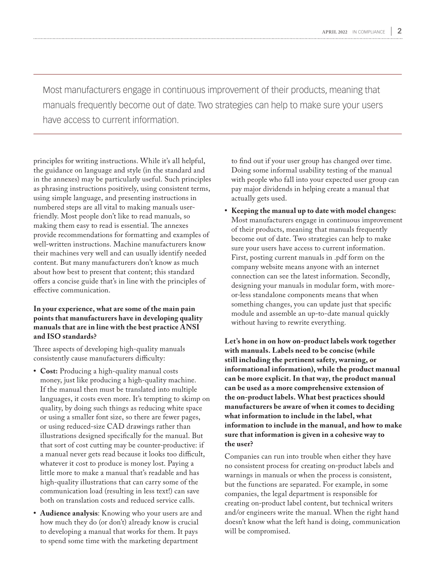Most manufacturers engage in continuous improvement of their products, meaning that manuals frequently become out of date. Two strategies can help to make sure your users have access to current information.

principles for writing instructions. While it's all helpful, the guidance on language and style (in the standard and in the annexes) may be particularly useful. Such principles as phrasing instructions positively, using consistent terms, using simple language, and presenting instructions in numbered steps are all vital to making manuals userfriendly. Most people don't like to read manuals, so making them easy to read is essential. The annexes provide recommendations for formatting and examples of well-written instructions. Machine manufacturers know their machines very well and can usually identify needed content. But many manufacturers don't know as much about how best to present that content; this standard offers a concise guide that's in line with the principles of effective communication.

#### **In your experience, what are some of the main pain points that manufacturers have in developing quality manuals that are in line with the best practice ANSI and ISO standards?**

Three aspects of developing high-quality manuals consistently cause manufacturers difficulty:

- **• Cost:** Producing a high-quality manual costs money, just like producing a high-quality machine. If the manual then must be translated into multiple languages, it costs even more. It's tempting to skimp on quality, by doing such things as reducing white space or using a smaller font size, so there are fewer pages, or using reduced-size CAD drawings rather than illustrations designed specifically for the manual. But that sort of cost cutting may be counter-productive: if a manual never gets read because it looks too difficult, whatever it cost to produce is money lost. Paying a little more to make a manual that's readable and has high-quality illustrations that can carry some of the communication load (resulting in less text!) can save both on translation costs and reduced service calls.
- **• Audience analysis**: Knowing who your users are and how much they do (or don't) already know is crucial to developing a manual that works for them. It pays to spend some time with the marketing department

to find out if your user group has changed over time. Doing some informal usability testing of the manual with people who fall into your expected user group can pay major dividends in helping create a manual that actually gets used.

**• Keeping the manual up to date with model changes:** Most manufacturers engage in continuous improvement of their products, meaning that manuals frequently become out of date. Two strategies can help to make sure your users have access to current information. First, posting current manuals in .pdf form on the company website means anyone with an internet connection can see the latest information. Secondly, designing your manuals in modular form, with moreor-less standalone components means that when something changes, you can update just that specific module and assemble an up-to-date manual quickly without having to rewrite everything.

**Let's hone in on how on-product labels work together with manuals. Labels need to be concise (while still including the pertinent safety, warning, or informational information), while the product manual can be more explicit. In that way, the product manual can be used as a more comprehensive extension of the on-product labels. What best practices should manufacturers be aware of when it comes to deciding what information to include in the label, what information to include in the manual, and how to make sure that information is given in a cohesive way to the user?**

Companies can run into trouble when either they have no consistent process for creating on-product labels and warnings in manuals or when the process is consistent, but the functions are separated. For example, in some companies, the legal department is responsible for creating on-product label content, but technical writers and/or engineers write the manual. When the right hand doesn't know what the left hand is doing, communication will be compromised.